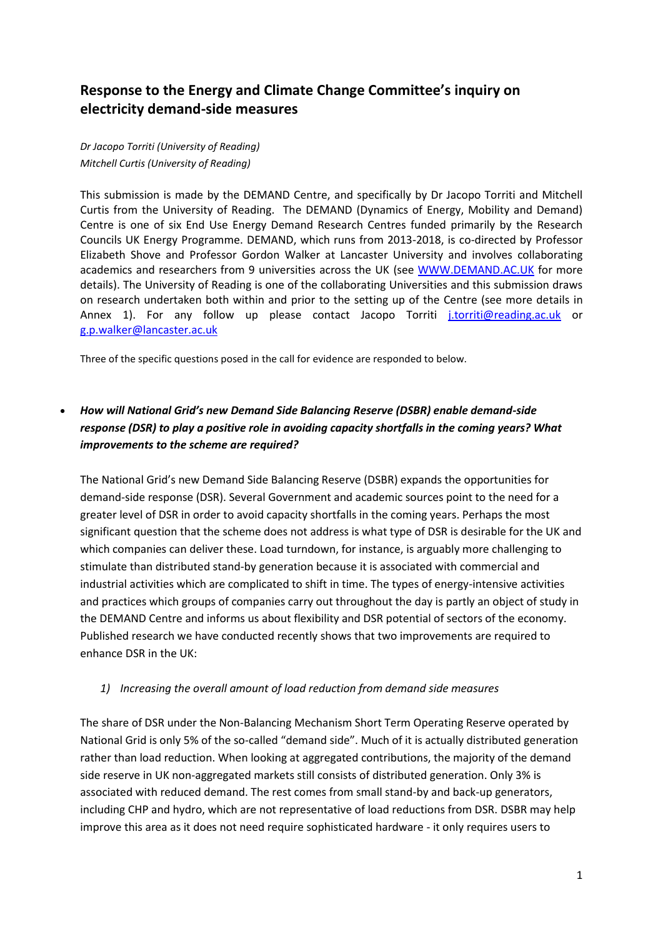# **Response to the Energy and Climate Change Committee's inquiry on electricity demand-side measures**

### *Dr Jacopo Torriti (University of Reading) Mitchell Curtis (University of Reading)*

This submission is made by the DEMAND Centre, and specifically by Dr Jacopo Torriti and Mitchell Curtis from the University of Reading. The DEMAND (Dynamics of Energy, Mobility and Demand) Centre is one of six End Use Energy Demand Research Centres funded primarily by the Research Councils UK Energy Programme. DEMAND, which runs from 2013-2018, is co-directed by Professor Elizabeth Shove and Professor Gordon Walker at Lancaster University and involves collaborating academics and researchers from 9 universities across the UK (see [WWW.DEMAND.AC.UK](http://www.demand.ac.uk/) for more details). The University of Reading is one of the collaborating Universities and this submission draws on research undertaken both within and prior to the setting up of the Centre (see more details in Annex 1). For any follow up please contact Jacopo Torriti [j.torriti@reading.ac.uk](mailto:j.torriti@reading.ac.uk) or [g.p.walker@lancaster.ac.uk](mailto:g.p.walker@lancaster.ac.uk)

Three of the specific questions posed in the call for evidence are responded to below.

## *How will National Grid's new Demand Side Balancing Reserve (DSBR) enable demand-side response (DSR) to play a positive role in avoiding capacity shortfalls in the coming years? What improvements to the scheme are required?*

The National Grid's new Demand Side Balancing Reserve (DSBR) expands the opportunities for demand-side response (DSR). Several Government and academic sources point to the need for a greater level of DSR in order to avoid capacity shortfalls in the coming years. Perhaps the most significant question that the scheme does not address is what type of DSR is desirable for the UK and which companies can deliver these. Load turndown, for instance, is arguably more challenging to stimulate than distributed stand-by generation because it is associated with commercial and industrial activities which are complicated to shift in time. The types of energy-intensive activities and practices which groups of companies carry out throughout the day is partly an object of study in the DEMAND Centre and informs us about flexibility and DSR potential of sectors of the economy. Published research we have conducted recently shows that two improvements are required to enhance DSR in the UK:

### *1) Increasing the overall amount of load reduction from demand side measures*

The share of DSR under the Non-Balancing Mechanism Short Term Operating Reserve operated by National Grid is only 5% of the so-called "demand side". Much of it is actually distributed generation rather than load reduction. When looking at aggregated contributions, the majority of the demand side reserve in UK non-aggregated markets still consists of distributed generation. Only 3% is associated with reduced demand. The rest comes from small stand-by and back-up generators, including CHP and hydro, which are not representative of load reductions from DSR. DSBR may help improve this area as it does not need require sophisticated hardware - it only requires users to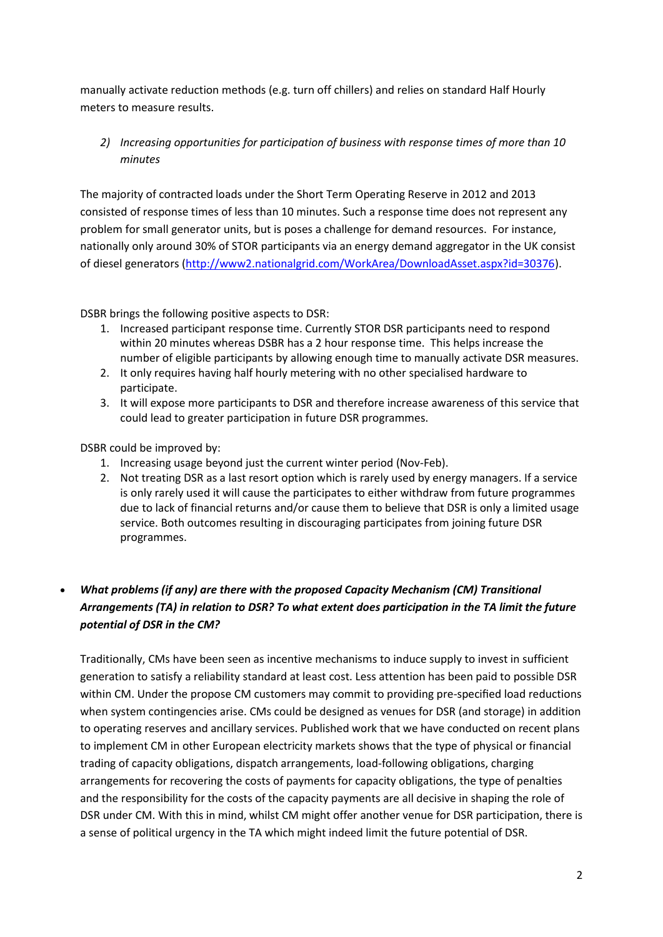manually activate reduction methods (e.g. turn off chillers) and relies on standard Half Hourly meters to measure results.

*2) Increasing opportunities for participation of business with response times of more than 10 minutes*

The majority of contracted loads under the Short Term Operating Reserve in 2012 and 2013 consisted of response times of less than 10 minutes. Such a response time does not represent any problem for small generator units, but is poses a challenge for demand resources. For instance, nationally only around 30% of STOR participants via an energy demand aggregator in the UK consist of diesel generators [\(http://www2.nationalgrid.com/WorkArea/DownloadAsset.aspx?id=30376\)](http://www2.nationalgrid.com/WorkArea/DownloadAsset.aspx?id=30376).

DSBR brings the following positive aspects to DSR:

- 1. Increased participant response time. Currently STOR DSR participants need to respond within 20 minutes whereas DSBR has a 2 hour response time. This helps increase the number of eligible participants by allowing enough time to manually activate DSR measures.
- 2. It only requires having half hourly metering with no other specialised hardware to participate.
- 3. It will expose more participants to DSR and therefore increase awareness of this service that could lead to greater participation in future DSR programmes.

DSBR could be improved by:

- 1. Increasing usage beyond just the current winter period (Nov-Feb).
- 2. Not treating DSR as a last resort option which is rarely used by energy managers. If a service is only rarely used it will cause the participates to either withdraw from future programmes due to lack of financial returns and/or cause them to believe that DSR is only a limited usage service. Both outcomes resulting in discouraging participates from joining future DSR programmes.

# *What problems (if any) are there with the proposed Capacity Mechanism (CM) Transitional Arrangements (TA) in relation to DSR? To what extent does participation in the TA limit the future potential of DSR in the CM?*

Traditionally, CMs have been seen as incentive mechanisms to induce supply to invest in sufficient generation to satisfy a reliability standard at least cost. Less attention has been paid to possible DSR within CM. Under the propose CM customers may commit to providing pre-specified load reductions when system contingencies arise. CMs could be designed as venues for DSR (and storage) in addition to operating reserves and ancillary services. Published work that we have conducted on recent plans to implement CM in other European electricity markets shows that the type of physical or financial trading of capacity obligations, dispatch arrangements, load-following obligations, charging arrangements for recovering the costs of payments for capacity obligations, the type of penalties and the responsibility for the costs of the capacity payments are all decisive in shaping the role of DSR under CM. With this in mind, whilst CM might offer another venue for DSR participation, there is a sense of political urgency in the TA which might indeed limit the future potential of DSR.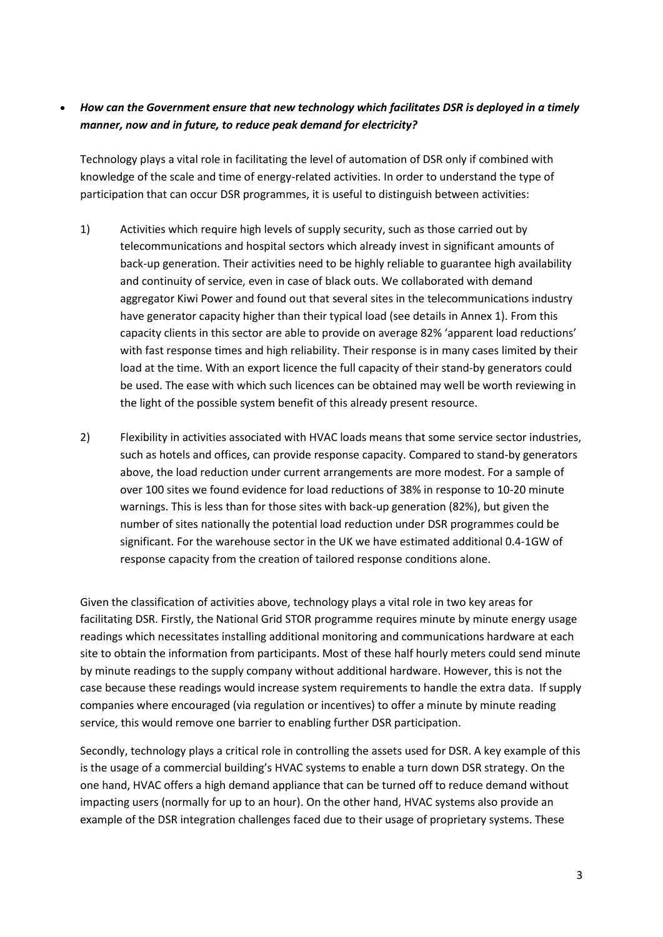## *How can the Government ensure that new technology which facilitates DSR is deployed in a timely manner, now and in future, to reduce peak demand for electricity?*

Technology plays a vital role in facilitating the level of automation of DSR only if combined with knowledge of the scale and time of energy-related activities. In order to understand the type of participation that can occur DSR programmes, it is useful to distinguish between activities:

- 1) Activities which require high levels of supply security, such as those carried out by telecommunications and hospital sectors which already invest in significant amounts of back-up generation. Their activities need to be highly reliable to guarantee high availability and continuity of service, even in case of black outs. We collaborated with demand aggregator Kiwi Power and found out that several sites in the telecommunications industry have generator capacity higher than their typical load (see details in Annex 1). From this capacity clients in this sector are able to provide on average 82% 'apparent load reductions' with fast response times and high reliability. Their response is in many cases limited by their load at the time. With an export licence the full capacity of their stand-by generators could be used. The ease with which such licences can be obtained may well be worth reviewing in the light of the possible system benefit of this already present resource.
- 2) Flexibility in activities associated with HVAC loads means that some service sector industries, such as hotels and offices, can provide response capacity. Compared to stand-by generators above, the load reduction under current arrangements are more modest. For a sample of over 100 sites we found evidence for load reductions of 38% in response to 10-20 minute warnings. This is less than for those sites with back-up generation (82%), but given the number of sites nationally the potential load reduction under DSR programmes could be significant. For the warehouse sector in the UK we have estimated additional 0.4-1GW of response capacity from the creation of tailored response conditions alone.

Given the classification of activities above, technology plays a vital role in two key areas for facilitating DSR. Firstly, the National Grid STOR programme requires minute by minute energy usage readings which necessitates installing additional monitoring and communications hardware at each site to obtain the information from participants. Most of these half hourly meters could send minute by minute readings to the supply company without additional hardware. However, this is not the case because these readings would increase system requirements to handle the extra data. If supply companies where encouraged (via regulation or incentives) to offer a minute by minute reading service, this would remove one barrier to enabling further DSR participation.

Secondly, technology plays a critical role in controlling the assets used for DSR. A key example of this is the usage of a commercial building's HVAC systems to enable a turn down DSR strategy. On the one hand, HVAC offers a high demand appliance that can be turned off to reduce demand without impacting users (normally for up to an hour). On the other hand, HVAC systems also provide an example of the DSR integration challenges faced due to their usage of proprietary systems. These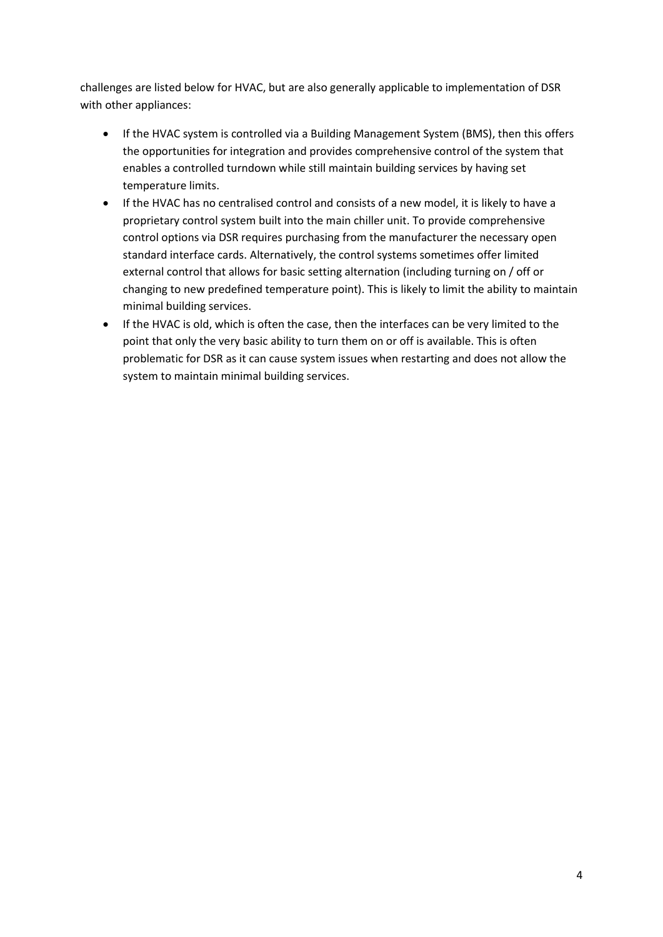challenges are listed below for HVAC, but are also generally applicable to implementation of DSR with other appliances:

- If the HVAC system is controlled via a Building Management System (BMS), then this offers the opportunities for integration and provides comprehensive control of the system that enables a controlled turndown while still maintain building services by having set temperature limits.
- If the HVAC has no centralised control and consists of a new model, it is likely to have a proprietary control system built into the main chiller unit. To provide comprehensive control options via DSR requires purchasing from the manufacturer the necessary open standard interface cards. Alternatively, the control systems sometimes offer limited external control that allows for basic setting alternation (including turning on / off or changing to new predefined temperature point). This is likely to limit the ability to maintain minimal building services.
- If the HVAC is old, which is often the case, then the interfaces can be very limited to the point that only the very basic ability to turn them on or off is available. This is often problematic for DSR as it can cause system issues when restarting and does not allow the system to maintain minimal building services.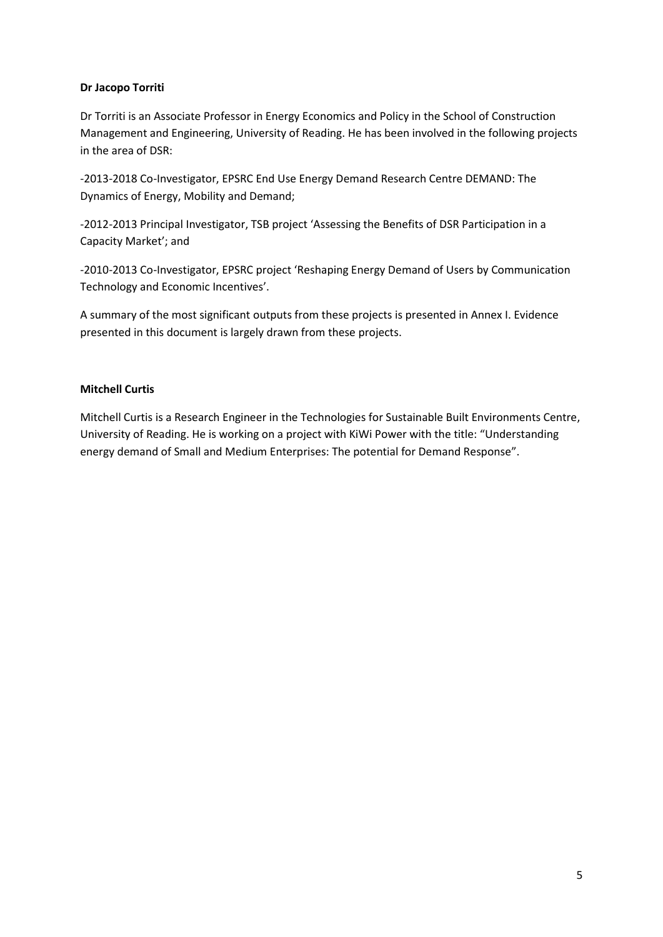### **Dr Jacopo Torriti**

Dr Torriti is an Associate Professor in Energy Economics and Policy in the School of Construction Management and Engineering, University of Reading. He has been involved in the following projects in the area of DSR:

-2013-2018 Co-Investigator, EPSRC End Use Energy Demand Research Centre DEMAND: The Dynamics of Energy, Mobility and Demand;

-2012-2013 Principal Investigator, TSB project 'Assessing the Benefits of DSR Participation in a Capacity Market'; and

-2010-2013 Co-Investigator, EPSRC project 'Reshaping Energy Demand of Users by Communication Technology and Economic Incentives'.

A summary of the most significant outputs from these projects is presented in Annex I. Evidence presented in this document is largely drawn from these projects.

### **Mitchell Curtis**

Mitchell Curtis is a Research Engineer in the Technologies for Sustainable Built Environments Centre, University of Reading. He is working on a project with KiWi Power with the title: "Understanding energy demand of Small and Medium Enterprises: The potential for Demand Response".